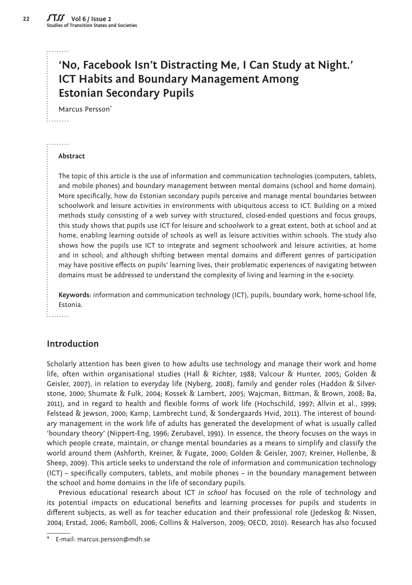#### . . . . . . . .

:<br>:........

**22**

# **'No, Facebook Isn't Distracting Me, I Can Study at Night.' ICT Habits and Boundary Management Among Estonian Secondary Pupils**

Marcus Persson\*

#### ......... **Abstract**

The topic of this article is the use of information and communication technologies (computers, tablets, and mobile phones) and boundary management between mental domains (school and home domain). More specifically, how do Estonian secondary pupils perceive and manage mental boundaries between schoolwork and leisure activities in environments with ubiquitous access to ICT. Building on a mixed methods study consisting of a web survey with structured, closed-ended questions and focus groups, this study shows that pupils use ICT for leisure and schoolwork to a great extent, both at school and at home, enabling learning outside of schools as well as leisure activities within schools. The study also shows how the pupils use ICT to integrate and segment schoolwork and leisure activities, at home and in school; and although shifting between mental domains and different genres of participation may have positive effects on pupils' learning lives, their problematic experiences of navigating between domains must be addressed to understand the complexity of living and learning in the e-society.

**Keywords:** information and communication technology (ICT), pupils, boundary work, home-school life, Estonia.

#### 1. . . . . . . . <sub>.</sub> .

# **Introduction**

Scholarly attention has been given to how adults use technology and manage their work and home life, often within organisational studies (Hall & Richter, 1988; Valcour & Hunter, 2005; Golden & Geisler, 2007), in relation to everyday life (Nyberg, 2008), family and gender roles (Haddon & Silverstone, 2000; Shumate & Fulk, 2004; Kossek & Lambert, 2005; Wajcman, Bittman, & Brown, 2008; Ba, 2011), and in regard to health and flexible forms of work life (Hochschild, 1997; Allvin et al., 1999; Felstead & Jewson, 2000; Kamp, Lambrecht Lund, & Sondergaards Hvid, 2011). The interest of boundary management in the work life of adults has generated the development of what is usually called 'boundary theory' (Nippert-Eng, 1996; Zerubavel, 1991). In essence, the theory focuses on the ways in which people create, maintain, or change mental boundaries as a means to simplify and classify the world around them (Ashforth, Kreiner, & Fugate, 2000; Golden & Geisler, 2007; Kreiner, Hollenbe, & Sheep, 2009). This article seeks to understand the role of information and communication technology (ICT) – specifically computers, tablets, and mobile phones – in the boundary management between the school and home domains in the life of secondary pupils.

Previous educational research about ICT *in school* has focused on the role of technology and its potential impacts on educational benefits and learning processes for pupils and students in different subjects, as well as for teacher education and their professional role (Jedeskog & Nissen, 2004; Erstad, 2006; Ramböll, 2006; Collins & Halverson, 2009; OECD, 2010). Research has also focused

E-mail: marcus.persson@mdh.se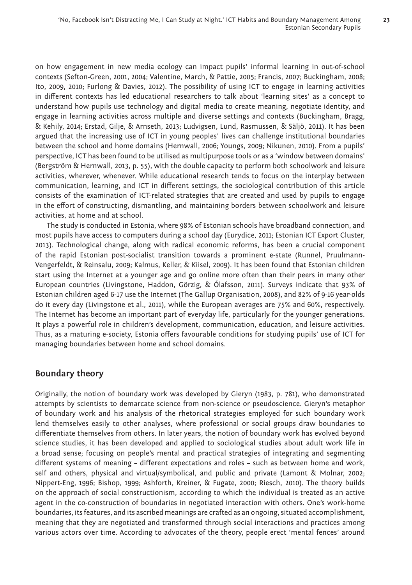**23**

on how engagement in new media ecology can impact pupils' informal learning in out-of-school contexts (Sefton-Green, 2001, 2004; Valentine, March, & Pattie, 2005; Francis, 2007; Buckingham, 2008; Ito, 2009, 2010; Furlong & Davies, 2012). The possibility of using ICT to engage in learning activities in different contexts has led educational researchers to talk about 'learning sites' as a concept to understand how pupils use technology and digital media to create meaning, negotiate identity, and engage in learning activities across multiple and diverse settings and contexts (Buckingham, Bragg, & Kehily, 2014; Erstad, Gilje, & Arnseth, 2013; Ludvigsen, Lund, Rasmussen, & Säljö, 2011). It has been argued that the increasing use of ICT in young peoples' lives can challenge institutional boundaries between the school and home domains (Hernwall, 2006; Youngs, 2009; Nikunen, 2010). From a pupils' perspective, ICT has been found to be utilised as multipurpose tools or as a 'window between domains' (Bergström & Hernwall, 2013, p. 55), with the double capacity to perform both schoolwork and leisure activities, wherever, whenever. While educational research tends to focus on the interplay between communication, learning, and ICT in different settings, the sociological contribution of this article consists of the examination of ICT-related strategies that are created and used by pupils to engage in the effort of constructing, dismantling, and maintaining borders between schoolwork and leisure activities, at home and at school.

The study is conducted in Estonia, where 98% of Estonian schools have broadband connection, and most pupils have access to computers during a school day (Eurydice, 2011; Estonian ICT Export Cluster, 2013). Technological change, along with radical economic reforms, has been a crucial component of the rapid Estonian post-socialist transition towards a prominent e-state (Runnel, Pruulmann-Vengerfeldt, & Reinsalu, 2009; Kalmus, Keller, & Kiisel, 2009). It has been found that Estonian children start using the Internet at a younger age and go online more often than their peers in many other European countries (Livingstone, Haddon, Görzig, & Ólafsson, 2011). Surveys indicate that 93% of Estonian children aged 6-17 use the Internet (The Gallup Organisation, 2008), and 82% of 9-16 year-olds do it every day (Livingstone et al., 2011), while the European averages are 75% and 60%, respectively. The Internet has become an important part of everyday life, particularly for the younger generations. It plays a powerful role in children's development, communication, education, and leisure activities. Thus, as a maturing e-society, Estonia offers favourable conditions for studying pupils' use of ICT for managing boundaries between home and school domains.

# **Boundary theory**

Originally, the notion of boundary work was developed by Gieryn (1983, p. 781), who demonstrated attempts by scientists to demarcate science from non-science or pseudoscience. Gieryn's metaphor of boundary work and his analysis of the rhetorical strategies employed for such boundary work lend themselves easily to other analyses, where professional or social groups draw boundaries to differentiate themselves from others. In later years, the notion of boundary work has evolved beyond science studies, it has been developed and applied to sociological studies about adult work life in a broad sense; focusing on people's mental and practical strategies of integrating and segmenting different systems of meaning - different expectations and roles - such as between home and work, self and others, physical and virtual/symbolical, and public and private (Lamont & Molnar, 2002; Nippert-Eng, 1996; Bishop, 1999; Ashforth, Kreiner, & Fugate, 2000; Riesch, 2010). The theory builds on the approach of social constructionism, according to which the individual is treated as an active agent in the co-construction of boundaries in negotiated interaction with others. One's work-home boundaries, its features, and its ascribed meanings are crafted as an ongoing, situated accomplishment, meaning that they are negotiated and transformed through social interactions and practices among various actors over time. According to advocates of the theory, people erect 'mental fences' around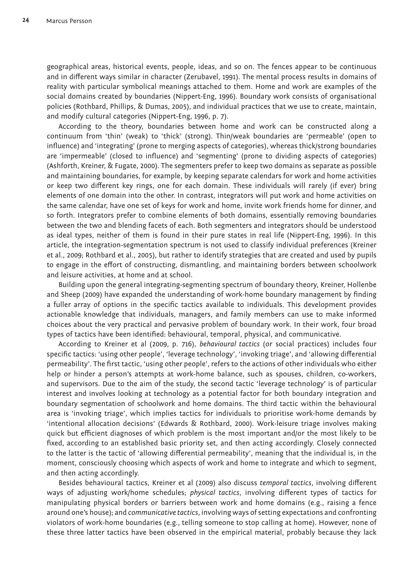geographical areas, historical events, people, ideas, and so on. The fences appear to be continuous and in different ways similar in character (Zerubavel, 1991). The mental process results in domains of reality with particular symbolical meanings attached to them. Home and work are examples of the social domains created by boundaries (Nippert-Eng, 1996). Boundary work consists of organisational policies (Rothbard, Phillips, & Dumas, 2005), and individual practices that we use to create, maintain, and modify cultural categories (Nippert-Eng, 1996, p. 7).

According to the theory, boundaries between home and work can be constructed along a continuum from 'thin' (weak) to 'thick' (strong). Thin/weak boundaries are 'permeable' (open to influence) and 'integrating' (prone to merging aspects of categories), whereas thick/strong boundaries are 'impermeable' (closed to influence) and 'segmenting' (prone to dividing aspects of categories) (Ashforth, Kreiner, & Fugate, 2000). The segmenters prefer to keep two domains as separate as possible and maintaining boundaries, for example, by keeping separate calendars for work and home activities or keep two different key rings, one for each domain. These individuals will rarely (if ever) bring elements of one domain into the other. In contrast, integrators will put work and home activities on the same calendar, have one set of keys for work and home, invite work friends home for dinner, and so forth. Integrators prefer to combine elements of both domains, essentially removing boundaries between the two and blending facets of each. Both segmenters and integrators should be understood as ideal types, neither of them is found in their pure states in real life (Nippert-Eng, 1996). In this article, the integration-segmentation spectrum is not used to classify individual preferences (Kreiner et al., 2009; Rothbard et al., 2005), but rather to identify strategies that are created and used by pupils to engage in the effort of constructing, dismantling, and maintaining borders between schoolwork and leisure activities, at home and at school.

Building upon the general integrating-segmenting spectrum of boundary theory, Kreiner, Hollenbe and Sheep (2009) have expanded the understanding of work-home boundary management by finding a fuller array of options in the specific tactics available to individuals. This development provides actionable knowledge that individuals, managers, and family members can use to make informed choices about the very practical and pervasive problem of boundary work. In their work, four broad types of tactics have been identified: behavioural, temporal, physical, and communicative.

According to Kreiner et al (2009, p. 716), *behavioural tactics* (or social practices) includes four specific tactics: 'using other people', 'leverage technology', 'invoking triage', and 'allowing differential permeability'. The first tactic, 'using other people', refers to the actions of other individuals who either help or hinder a person's attempts at work-home balance, such as spouses, children, co-workers, and supervisors. Due to the aim of the study, the second tactic 'leverage technology' is of particular interest and involves looking at technology as a potential factor for both boundary integration and boundary segmentation of schoolwork and home domains. The third tactic within the behavioural area is 'invoking triage', which implies tactics for individuals to prioritise work-home demands by 'intentional allocation decisions' (Edwards & Rothbard, 2000). Work-leisure triage involves making quick but efficient diagnoses of which problem is the most important and/or the most likely to be fixed, according to an established basic priority set, and then acting accordingly. Closely connected to the latter is the tactic of 'allowing differential permeability', meaning that the individual is, in the moment, consciously choosing which aspects of work and home to integrate and which to segment, and then acting accordingly.

Besides behavioural tactics, Kreiner et al (2009) also discuss *temporal tactics*, involving different ways of adjusting work/home schedules; *physical tactics*, involving different types of tactics for manipulating physical borders or barriers between work and home domains (e.g., raising a fence around one's house); and *communicative tactics*, involving ways of setting expectations and confronting violators of work-home boundaries (e.g., telling someone to stop calling at home). However, none of these three latter tactics have been observed in the empirical material, probably because they lack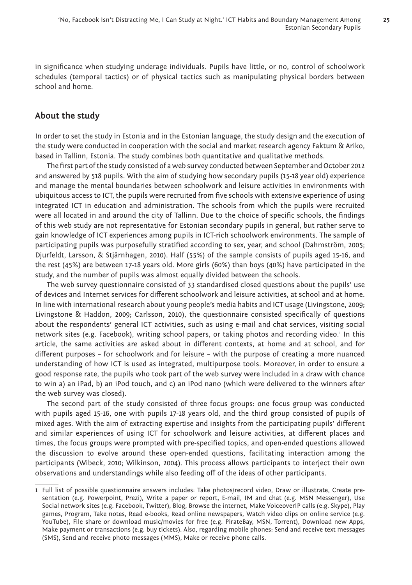**25**

in significance when studying underage individuals. Pupils have little, or no, control of schoolwork schedules (temporal tactics) or of physical tactics such as manipulating physical borders between school and home.

# **About the study**

In order to set the study in Estonia and in the Estonian language, the study design and the execution of the study were conducted in cooperation with the social and market research agency Faktum & Ariko, based in Tallinn, Estonia. The study combines both quantitative and qualitative methods.

The first part of the study consisted of a web survey conducted between September and October 2012 and answered by 518 pupils. With the aim of studying how secondary pupils (15-18 year old) experience and manage the mental boundaries between schoolwork and leisure activities in environments with ubiquitous access to ICT, the pupils were recruited from five schools with extensive experience of using integrated ICT in education and administration. The schools from which the pupils were recruited were all located in and around the city of Tallinn. Due to the choice of specific schools, the findings of this web study are not representative for Estonian secondary pupils in general, but rather serve to gain knowledge of ICT experiences among pupils in ICT-rich schoolwork environments. The sample of participating pupils was purposefully stratified according to sex, year, and school (Dahmström, 2005; Djurfeldt, Larsson, & Stjärnhagen, 2010). Half (55%) of the sample consists of pupils aged 15-16, and the rest (45%) are between 17-18 years old. More girls (60%) than boys (40%) have participated in the study, and the number of pupils was almost equally divided between the schools.

The web survey questionnaire consisted of 33 standardised closed questions about the pupils' use of devices and Internet services for different schoolwork and leisure activities, at school and at home. In line with international research about young people's media habits and ICT usage (Livingstone, 2009; Livingstone & Haddon, 2009; Carlsson, 2010), the questionnaire consisted specifically of questions about the respondents' general ICT activities, such as using e-mail and chat services, visiting social network sites (e.g. Facebook), writing school papers, or taking photos and recording video.1 In this article, the same activities are asked about in different contexts, at home and at school, and for different purposes - for schoolwork and for leisure - with the purpose of creating a more nuanced understanding of how ICT is used as integrated, multipurpose tools. Moreover, in order to ensure a good response rate, the pupils who took part of the web survey were included in a draw with chance to win a) an iPad, b) an iPod touch, and c) an iPod nano (which were delivered to the winners after the web survey was closed).

The second part of the study consisted of three focus groups: one focus group was conducted with pupils aged 15-16, one with pupils 17-18 years old, and the third group consisted of pupils of mixed ages. With the aim of extracting expertise and insights from the participating pupils' different and similar experiences of using ICT for schoolwork and leisure activities, at different places and times, the focus groups were prompted with pre-specified topics, and open-ended questions allowed the discussion to evolve around these open-ended questions, facilitating interaction among the participants (Wibeck, 2010; Wilkinson, 2004). This process allows participants to interject their own observations and understandings while also feeding off of the ideas of other participants.

<sup>1</sup> Full list of possible questionnaire answers includes: Take photos/record video, Draw or illustrate, Create presentation (e.g. Powerpoint, Prezi), Write a paper or report, E-mail, IM and chat (e.g. MSN Messenger), Use Social network sites (e.g. Facebook, Twitter), Blog, Browse the internet, Make VoiceoverIP calls (e.g. Skype), Play games, Program, Take notes, Read e-books, Read online newspapers, Watch video clips on online service (e.g. YouTube), File share or download music/movies for free (e.g. PirateBay, MSN, Torrent), Download new Apps, Make payment or transactions (e.g. buy tickets). Also, regarding mobile phones: Send and receive text messages (SMS), Send and receive photo messages (MMS), Make or receive phone calls.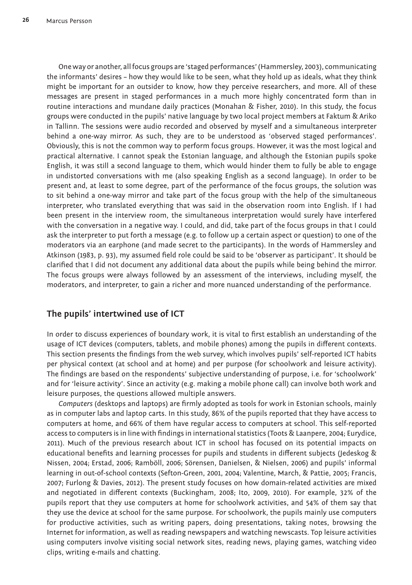One way or another, all focus groups are 'staged performances' (Hammersley, 2003), communicating the informants' desires – how they would like to be seen, what they hold up as ideals, what they think might be important for an outsider to know, how they perceive researchers, and more. All of these messages are present in staged performances in a much more highly concentrated form than in routine interactions and mundane daily practices (Monahan & Fisher, 2010). In this study, the focus groups were conducted in the pupils' native language by two local project members at Faktum & Ariko in Tallinn. The sessions were audio recorded and observed by myself and a simultaneous interpreter behind a one-way mirror. As such, they are to be understood as 'observed staged performances'. Obviously, this is not the common way to perform focus groups. However, it was the most logical and practical alternative. I cannot speak the Estonian language, and although the Estonian pupils spoke English, it was still a second language to them, which would hinder them to fully be able to engage in undistorted conversations with me (also speaking English as a second language). In order to be present and, at least to some degree, part of the performance of the focus groups, the solution was to sit behind a one-way mirror and take part of the focus group with the help of the simultaneous interpreter, who translated everything that was said in the observation room into English. If I had been present in the interview room, the simultaneous interpretation would surely have interfered with the conversation in a negative way. I could, and did, take part of the focus groups in that I could ask the interpreter to put forth a message (e.g. to follow up a certain aspect or question) to one of the moderators via an earphone (and made secret to the participants). In the words of Hammersley and Atkinson (1983, p. 93), my assumed field role could be said to be 'observer as participant'. It should be clarified that I did not document any additional data about the pupils while being behind the mirror. The focus groups were always followed by an assessment of the interviews, including myself, the moderators, and interpreter, to gain a richer and more nuanced understanding of the performance.

# **The pupils' intertwined use of ICT**

In order to discuss experiences of boundary work, it is vital to first establish an understanding of the usage of ICT devices (computers, tablets, and mobile phones) among the pupils in different contexts. This section presents the findings from the web survey, which involves pupils' self-reported ICT habits per physical context (at school and at home) and per purpose (for schoolwork and leisure activity). The findings are based on the respondents' subjective understanding of purpose, i.e. for 'schoolwork' and for 'leisure activity'. Since an activity (e.g. making a mobile phone call) can involve both work and leisure purposes, the questions allowed multiple answers.

*Computers* (desktops and laptops) are firmly adopted as tools for work in Estonian schools, mainly as in computer labs and laptop carts. In this study, 86% of the pupils reported that they have access to computers at home, and 66% of them have regular access to computers at school. This self-reported access to computers is in line with findings in international statistics (Toots & Laanpere, 2004; Eurydice, 2011). Much of the previous research about ICT in school has focused on its potential impacts on educational benefits and learning processes for pupils and students in different subjects (Jedeskog & Nissen, 2004; Erstad, 2006; Ramböll, 2006; Sörensen, Danielsen, & Nielsen, 2006) and pupils' informal learning in out-of-school contexts (Sefton-Green, 2001, 2004; Valentine, March, & Pattie, 2005; Francis, 2007; Furlong & Davies, 2012). The present study focuses on how domain-related activities are mixed and negotiated in different contexts (Buckingham, 2008; Ito, 2009, 2010). For example, 32% of the pupils report that they use computers at home for schoolwork activities, and 54% of them say that they use the device at school for the same purpose. For schoolwork, the pupils mainly use computers for productive activities, such as writing papers, doing presentations, taking notes, browsing the Internet for information, as well as reading newspapers and watching newscasts. Top leisure activities using computers involve visiting social network sites, reading news, playing games, watching video clips, writing e-mails and chatting.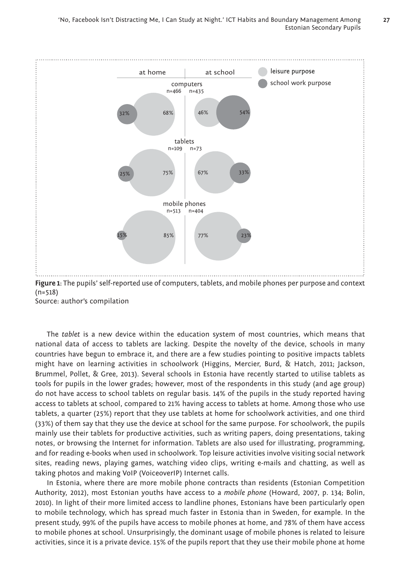

Source: author's compilation

The *tablet* is a new device within the education system of most countries, which means that national data of access to tablets are lacking. Despite the novelty of the device, schools in many countries have begun to embrace it, and there are a few studies pointing to positive impacts tablets might have on learning activities in schoolwork (Higgins, Mercier, Burd, & Hatch, 2011; Jackson, Brummel, Pollet, & Gree, 2013). Several schools in Estonia have recently started to utilise tablets as tools for pupils in the lower grades; however, most of the respondents in this study (and age group) do not have access to school tablets on regular basis. 14% of the pupils in the study reported having access to tablets at school, compared to 21% having access to tablets at home. Among those who use tablets, a quarter (25%) report that they use tablets at home for schoolwork activities, and one third (33%) of them say that they use the device at school for the same purpose. For schoolwork, the pupils mainly use their tablets for productive activities, such as writing papers, doing presentations, taking notes, or browsing the Internet for information. Tablets are also used for illustrating, programming, and for reading e-books when used in schoolwork. Top leisure activities involve visiting social network sites, reading news, playing games, watching video clips, writing e-mails and chatting, as well as taking photos and making VoIP (VoiceoverIP) Internet calls.

In Estonia, where there are more mobile phone contracts than residents (Estonian Competition Authority, 2012), most Estonian youths have access to a *mobile phone* (Howard, 2007, p. 134; Bolin, 2010). In light of their more limited access to landline phones, Estonians have been particularly open to mobile technology, which has spread much faster in Estonia than in Sweden, for example. In the present study, 99% of the pupils have access to mobile phones at home, and 78% of them have access to mobile phones at school. Unsurprisingly, the dominant usage of mobile phones is related to leisure activities, since it is a private device. 15% of the pupils report that they use their mobile phone at home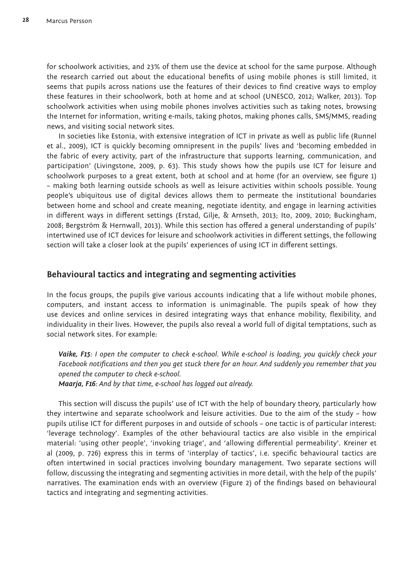for schoolwork activities, and 23% of them use the device at school for the same purpose. Although the research carried out about the educational benefits of using mobile phones is still limited, it seems that pupils across nations use the features of their devices to find creative ways to employ these features in their schoolwork, both at home and at school (UNESCO, 2012; Walker, 2013). Top schoolwork activities when using mobile phones involves activities such as taking notes, browsing the Internet for information, writing e-mails, taking photos, making phones calls, SMS/MMS, reading news, and visiting social network sites.

In societies like Estonia, with extensive integration of ICT in private as well as public life (Runnel et al., 2009), ICT is quickly becoming omnipresent in the pupils' lives and 'becoming embedded in the fabric of every activity, part of the infrastructure that supports learning, communication, and participation' (Livingstone, 2009, p. 63). This study shows how the pupils use ICT for leisure and schoolwork purposes to a great extent, both at school and at home (for an overview, see figure 1) – making both learning outside schools as well as leisure activities within schools possible. Young people's ubiquitous use of digital devices allows them to permeate the institutional boundaries between home and school and create meaning, negotiate identity, and engage in learning activities in different ways in different settings (Erstad, Gilje, & Arnseth, 2013; Ito, 2009, 2010; Buckingham, 2008; Bergström & Hernwall, 2013). While this section has offered a general understanding of pupils' intertwined use of ICT devices for leisure and schoolwork activities in different settings, the following section will take a closer look at the pupils' experiences of using ICT in different settings.

#### **Behavioural tactics and integrating and segmenting activities**

In the focus groups, the pupils give various accounts indicating that a life without mobile phones, computers, and instant access to information is unimaginable. The pupils speak of how they use devices and online services in desired integrating ways that enhance mobility, flexibility, and individuality in their lives. However, the pupils also reveal a world full of digital temptations, such as social network sites. For example:

*Vaike, F15: I open the computer to check e-school. While e-school is loading, you quickly check your*  Facebook notifications and then you get stuck there for an hour. And suddenly you remember that you *opened the computer to check e-school.*

*Maarja, F16: And by that time, e-school has logged out already.*

This section will discuss the pupils' use of ICT with the help of boundary theory, particularly how they intertwine and separate schoolwork and leisure activities. Due to the aim of the study – how pupils utilise ICT for different purposes in and outside of schools - one tactic is of particular interest: 'leverage technology'. Examples of the other behavioural tactics are also visible in the empirical material: 'using other people', 'invoking triage', and 'allowing differential permeability'. Kreiner et al (2009, p. 726) express this in terms of 'interplay of tactics', i.e. specific behavioural tactics are often intertwined in social practices involving boundary management. Two separate sections will follow, discussing the integrating and segmenting activities in more detail, with the help of the pupils' narratives. The examination ends with an overview (Figure 2) of the findings based on behavioural tactics and integrating and segmenting activities.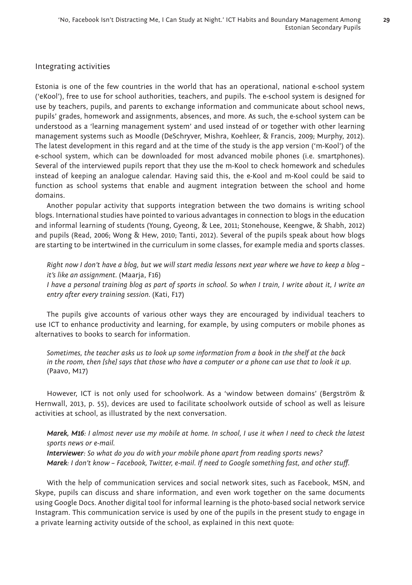#### Integrating activities

Estonia is one of the few countries in the world that has an operational, national e-school system ('eKool'), free to use for school authorities, teachers, and pupils. The e-school system is designed for use by teachers, pupils, and parents to exchange information and communicate about school news, pupils' grades, homework and assignments, absences, and more. As such, the e-school system can be understood as a 'learning management system' and used instead of or together with other learning management systems such as Moodle (DeSchryver, Mishra, Koehleer, & Francis, 2009; Murphy, 2012). The latest development in this regard and at the time of the study is the app version ('m-Kool') of the e-school system, which can be downloaded for most advanced mobile phones (i.e. smartphones). Several of the interviewed pupils report that they use the m-Kool to check homework and schedules instead of keeping an analogue calendar. Having said this, the e-Kool and m-Kool could be said to function as school systems that enable and augment integration between the school and home domains.

Another popular activity that supports integration between the two domains is writing school blogs. International studies have pointed to various advantages in connection to blogs in the education and informal learning of students (Young, Gyeong, & Lee, 2011; Stonehouse, Keengwe, & Shabh, 2012) and pupils (Read, 2006; Wong & Hew, 2010; Tanti, 2012). Several of the pupils speak about how blogs are starting to be intertwined in the curriculum in some classes, for example media and sports classes.

*Right now I don't have a blog, but we will start media lessons next year where we have to keep a blog – it's like an assignment.* (Maarja, F16)

*I have a personal training blog as part of sports in school. So when I train, I write about it, I write an entry after every training session.* (Kati, F17)

The pupils give accounts of various other ways they are encouraged by individual teachers to use ICT to enhance productivity and learning, for example, by using computers or mobile phones as alternatives to books to search for information.

*Sometimes, the teacher asks us to look up some information from a book in the shelf at the back in the room, then [she] says that those who have a computer or a phone can use that to look it up.* (Paavo, M17)

However, ICT is not only used for schoolwork. As a 'window between domains' (Bergström & Hernwall, 2013, p. 55), devices are used to facilitate schoolwork outside of school as well as leisure activities at school, as illustrated by the next conversation.

*Marek, M16: I almost never use my mobile at home. In school, I use it when I need to check the latest sports news or e-mail.*

*Interviewer: So what do you do with your mobile phone apart from reading sports news? Marek: I don't know – Facebook, Twitter, e-mail. If need to Google something fast, and other stuff .*

With the help of communication services and social network sites, such as Facebook, MSN, and Skype, pupils can discuss and share information, and even work together on the same documents using Google Docs. Another digital tool for informal learning is the photo-based social network service Instagram. This communication service is used by one of the pupils in the present study to engage in a private learning activity outside of the school, as explained in this next quote: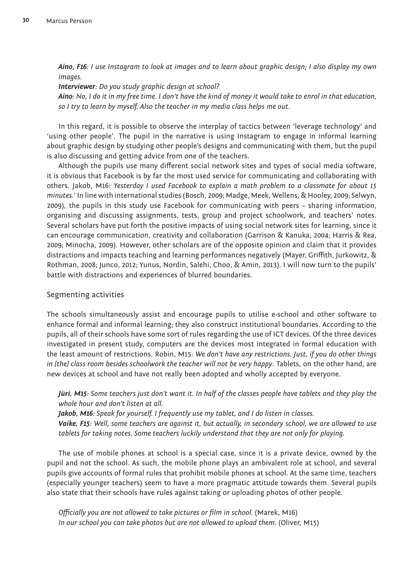*Aino, F16: I use Instagram to look at images and to learn about graphic design; I also display my own images.*

*Interviewer: Do you study graphic design at school? Aino: No, I do it in my free time. I don't have the kind of money it would take to enrol in that education, so I try to learn by myself. Also the teacher in my media class helps me out.*

In this regard, it is possible to observe the interplay of tactics between 'leverage technology' and 'using other people'. The pupil in the narrative is using Instagram to engage in informal learning about graphic design by studying other people's designs and communicating with them, but the pupil is also discussing and getting advice from one of the teachers.

Although the pupils use many different social network sites and types of social media software, it is obvious that Facebook is by far the most used service for communicating and collaborating with others. Jakob, M16: *Yesterday I used Facebook to explain a math problem to a classmate for about 15 minutes.*' In line with international studies (Bosch, 2009; Madge, Meek, Wellens, & Hooley, 2009; Selwyn, 2009), the pupils in this study use Facebook for communicating with peers – sharing information, organising and discussing assignments, tests, group and project schoolwork, and teachers' notes. Several scholars have put forth the positive impacts of using social network sites for learning, since it can encourage communication, creativity and collaboration (Garrison & Kanuka, 2004; Harris & Rea, 2009; Minocha, 2009). However, other scholars are of the opposite opinion and claim that it provides distractions and impacts teaching and learning performances negatively (Mayer, Griffith, Jurkowitz, & Rothman, 2008; Junco, 2012; Yunus, Nordin, Salehi, Choo, & Amin, 2013). I will now turn to the pupils' battle with distractions and experiences of blurred boundaries.

#### Segmenting activities

The schools simultaneously assist and encourage pupils to utilise e-school and other software to enhance formal and informal learning; they also construct institutional boundaries. According to the pupils, all of their schools have some sort of rules regarding the use of ICT devices. Of the three devices investigated in present study, computers are the devices most integrated in formal education with the least amount of restrictions. Robin, M15: *We don't have any restrictions. Just, if you do other things in [the] class room besides schoolwork the teacher will not be very happy*. Tablets, on the other hand, are new devices at school and have not really been adopted and wholly accepted by everyone.

*Jüri, M15: Some teachers just don't want it. In half of the classes people have tablets and they play the whole hour and don't listen at all.*

*Jakob, M16: Speak for yourself. I frequently use my tablet, and I do listen in classes.*

*Vaike, F15: Well, some teachers are against it, but actually, in secondary school, we are allowed to use tablets for taking notes. Some teachers luckily understand that they are not only for playing.*

The use of mobile phones at school is a special case, since it is a private device, owned by the pupil and not the school. As such, the mobile phone plays an ambivalent role at school, and several pupils give accounts of formal rules that prohibit mobile phones at school. At the same time, teachers (especially younger teachers) seem to have a more pragmatic attitude towards them. Several pupils also state that their schools have rules against taking or uploading photos of other people.

*Officially you are not allowed to take pictures or film in school.* (Marek, M16) *In our school you can take photos but are not allowed to upload them.* (Oliver, M15)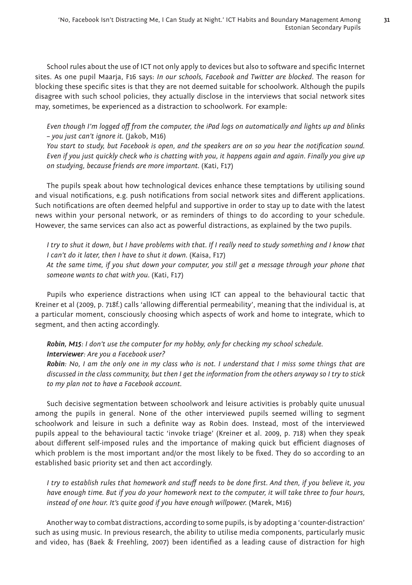School rules about the use of ICT not only apply to devices but also to software and specific Internet sites. As one pupil Maarja, F16 says: *In our schools, Facebook and Twitter are blocked*. The reason for blocking these specific sites is that they are not deemed suitable for schoolwork. Although the pupils disagree with such school policies, they actually disclose in the interviews that social network sites may, sometimes, be experienced as a distraction to schoolwork. For example:

*Even though I'm logged off from the computer, the iPad logs on automatically and lights up and blinks – you just can't ignore it.* (Jakob, M16)

*You start to study, but Facebook is open, and the speakers are on so you hear the notification sound. Even if you just quickly check who is chatting with you, it happens again and again. Finally you give up on studying, because friends are more important.* (Kati, F17)

The pupils speak about how technological devices enhance these temptations by utilising sound and visual notifications, e.g. push notifications from social network sites and different applications. Such notifications are often deemed helpful and supportive in order to stay up to date with the latest news within your personal network, or as reminders of things to do according to your schedule. However, the same services can also act as powerful distractions, as explained by the two pupils.

*I try to shut it down, but I have problems with that. If I really need to study something and I know that I can't do it later, then I have to shut it down.* (Kaisa, F17)

*At the same time, if you shut down your computer, you still get a message through your phone that someone wants to chat with you.* (Kati, F17)

Pupils who experience distractions when using ICT can appeal to the behavioural tactic that Kreiner et al (2009, p. 718f.) calls 'allowing differential permeability', meaning that the individual is, at a particular moment, consciously choosing which aspects of work and home to integrate, which to segment, and then acting accordingly.

# *Robin, M15: I don't use the computer for my hobby, only for checking my school schedule. Interviewer: Are you a Facebook user?*

*Robin: No, I am the only one in my class who is not. I understand that I miss some things that are discussed in the class community, but then I get the information from the others anyway so I try to stick to my plan not to have a Facebook account.*

Such decisive segmentation between schoolwork and leisure activities is probably quite unusual among the pupils in general. None of the other interviewed pupils seemed willing to segment schoolwork and leisure in such a definite way as Robin does. Instead, most of the interviewed pupils appeal to the behavioural tactic 'invoke triage' (Kreiner et al. 2009, p. 718) when they speak about different self-imposed rules and the importance of making quick but efficient diagnoses of which problem is the most important and/or the most likely to be fixed. They do so according to an established basic priority set and then act accordingly.

*I try to establish rules that homework and stuff needs to be done first. And then, if you believe it, you have enough time. But if you do your homework next to the computer, it will take three to four hours, instead of one hour. It's quite good if you have enough willpower.* (Marek, M16)

Another way to combat distractions, according to some pupils, is by adopting a 'counter-distraction' such as using music. In previous research, the ability to utilise media components, particularly music and video, has (Baek & Freehling, 2007) been identified as a leading cause of distraction for high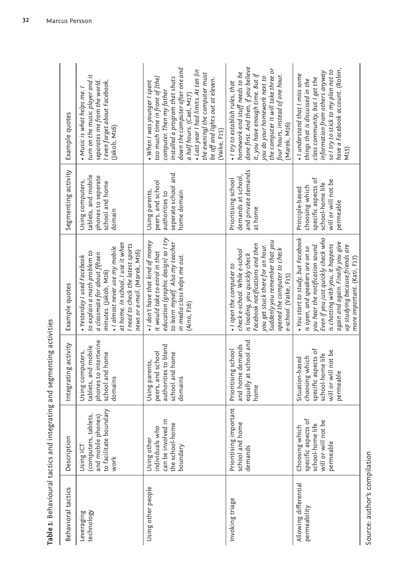| $\overline{a}$<br>Ï<br>D<br>J<br>$\mathbf{r}$                                      |
|------------------------------------------------------------------------------------|
| $\frac{1}{2}$<br>Ŋ<br>l<br>Ď                                                       |
| こうしょう フィーフ<br>∶<br>5<br>ؘؚ<br>J<br>$\mathbf{I}$<br>$\frac{1}{\zeta}$<br>$\ddot{ }$ |
| .<br>.<br>.<br>.<br>;<br>i                                                         |
| ֚֓<br>Í<br>þ                                                                       |

| Table 1: Behavioural tactics and integrating and segmenting activities | Example quotes<br>Segmenting activity | turn on the music player and it<br>separates me from the world.<br>I even forget about Facebook.<br>• Music is what helps me.<br>Jakob, M16)<br>tablets, and mobile<br>phones to seperate<br>Using computers,<br>school and home<br>domain                        | down the computer after one and<br>· Last year I had limits. At ten [in<br>the evening] the computer must<br>too much time in front of [the]<br>installed a program that shuts<br>be off and lights out at eleven.<br>• When I was younger I spent<br>computer. Then my father<br>a half hours. (Cael, M17)<br>(Vaike, F15)<br>seperate school and<br>peers, and school<br>Using parents,<br>authorities to<br>home domain | done first. And then, if you believe<br>the computer it will take three or<br>homework and stuff needs to be<br>it, you have enough time. But if<br>four hours, instead of one hour.<br>you do your homework next to<br>. I try to establish rules, that<br>Marek, M16)<br>and private demands<br>demands at school<br>Prioritising school<br>at home | have a Facebook account. (Robin,<br>so I try to stick to my plan not to<br>information from others anyway<br>• I understand that I miss some<br>class community, but I get the<br>things that is discussed in the<br><b>N15)</b><br>specific aspects of<br>will or will not be<br>school-home life<br>choosing which<br>Principle-based<br>permeable |
|------------------------------------------------------------------------|---------------------------------------|-------------------------------------------------------------------------------------------------------------------------------------------------------------------------------------------------------------------------------------------------------------------|----------------------------------------------------------------------------------------------------------------------------------------------------------------------------------------------------------------------------------------------------------------------------------------------------------------------------------------------------------------------------------------------------------------------------|-------------------------------------------------------------------------------------------------------------------------------------------------------------------------------------------------------------------------------------------------------------------------------------------------------------------------------------------------------|------------------------------------------------------------------------------------------------------------------------------------------------------------------------------------------------------------------------------------------------------------------------------------------------------------------------------------------------------|
|                                                                        | Example quotes                        | at home. In school, I use it when<br>I need to check the latest sports<br>· I almost never use my mobile<br>news or e-mail. (Marek, M16)<br>to explain a math problem to<br>a classmate for about fifteen<br>• Yesterday I used Facebook<br>minutes. (Jakob, M16) | education [graphic design] so I try<br>. I don't have that kind of money<br>to learn myself. Also my teacher<br>it would take to enrol in that<br>in media class helps me out.<br>(Aino, F16)                                                                                                                                                                                                                              | Suddenly you remember that you<br>Facebook notifications and then<br>you get stuck there for an hour.<br>opened the computer to check<br>check e-school. While e-school<br>is loading, you quickly check<br>• I open the computer to<br>e-school. (Vaike, F15)                                                                                        | · You start to study, but Facebook<br>Even if you just quickly check who<br>again and again. Finally you give<br>is chatting with you, it happens<br>you hear the notification sound.<br>up studying because friends are<br>is open, and speakers are on so<br>more important. (Kati, F17)                                                           |
|                                                                        | Integrating activity                  | phones to intertwine<br>tablets, and mobile<br>Using computers,<br>school and home<br>domains                                                                                                                                                                     | authorities to blend<br>school and home<br>peers, and school<br>Using parents,<br>domains                                                                                                                                                                                                                                                                                                                                  | equally at school and<br>and home demands<br>Prioritising school<br>home                                                                                                                                                                                                                                                                              | specific aspects of<br>will or will not be<br>school-home life<br>choosing which<br>Situation-based<br>permeable                                                                                                                                                                                                                                     |
|                                                                        | Description                           | to facilitate boundary<br>tablets,<br>and mobile phones)<br>(computers,<br>Using ICT<br>work                                                                                                                                                                      | can be involved in<br>the school-home<br>individuals who<br>Using other<br>boundary                                                                                                                                                                                                                                                                                                                                        | Prioritising important<br>school and home<br>demands                                                                                                                                                                                                                                                                                                  | specific aspects of<br>will or will not be<br>school-home life<br>Choosing which<br>permeable                                                                                                                                                                                                                                                        |
|                                                                        | Behavioral tactics                    | Leveraging<br>technology                                                                                                                                                                                                                                          | Using other people                                                                                                                                                                                                                                                                                                                                                                                                         | Invoking triage                                                                                                                                                                                                                                                                                                                                       | Allowing differential<br>permeability                                                                                                                                                                                                                                                                                                                |

Source: author's compilation Source: author's compilation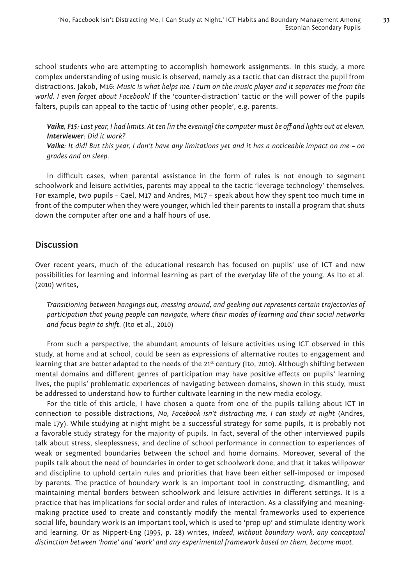school students who are attempting to accomplish homework assignments. In this study, a more complex understanding of using music is observed, namely as a tactic that can distract the pupil from distractions. Jakob, M16: *Music is what helps me. I turn on the music player and it separates me from the world. I even forget about Facebook!* If the 'counter-distraction' tactic or the will power of the pupils falters, pupils can appeal to the tactic of 'using other people', e.g. parents.

*Vaike, F15: Last year, I had limits. At ten [in the evening] the computer must be off and lights out at eleven. Interviewer: Did it work? Vaike: It did! But this year, I don't have any limitations yet and it has a noticeable impact on me – on* 

In difficult cases, when parental assistance in the form of rules is not enough to segment schoolwork and leisure activities, parents may appeal to the tactic 'leverage technology' themselves. For example, two pupils – Cael, M17 and Andres, M17 – speak about how they spent too much time in front of the computer when they were younger, which led their parents to install a program that shuts down the computer after one and a half hours of use.

# **Discussion**

*grades and on sleep.*

Over recent years, much of the educational research has focused on pupils' use of ICT and new possibilities for learning and informal learning as part of the everyday life of the young. As Ito et al. (2010) writes,

*Transitioning between hangings out, messing around, and geeking out represents certain trajectories of participation that young people can navigate, where their modes of learning and their social networks and focus begin to shift.* (Ito et al., 2010)

From such a perspective, the abundant amounts of leisure activities using ICT observed in this study, at home and at school, could be seen as expressions of alternative routes to engagement and learning that are better adapted to the needs of the 21<sup>st</sup> century (Ito, 2010). Although shifting between mental domains and different genres of participation may have positive effects on pupils' learning lives, the pupils' problematic experiences of navigating between domains, shown in this study, must be addressed to understand how to further cultivate learning in the new media ecology.

For the title of this article, I have chosen a quote from one of the pupils talking about ICT in connection to possible distractions, *No, Facebook isn't distracting me, I can study at night* (Andres, male 17y). While studying at night might be a successful strategy for some pupils, it is probably not a favorable study strategy for the majority of pupils. In fact, several of the other interviewed pupils talk about stress, sleeplessness, and decline of school performance in connection to experiences of weak or segmented boundaries between the school and home domains. Moreover, several of the pupils talk about the need of boundaries in order to get schoolwork done, and that it takes willpower and discipline to uphold certain rules and priorities that have been either self-imposed or imposed by parents. The practice of boundary work is an important tool in constructing, dismantling, and maintaining mental borders between schoolwork and leisure activities in different settings. It is a practice that has implications for social order and rules of interaction. As a classifying and meaningmaking practice used to create and constantly modify the mental frameworks used to experience social life, boundary work is an important tool, which is used to 'prop up' and stimulate identity work and learning. Or as Nippert-Eng (1995, p. 28) writes, *Indeed, without boundary work, any conceptual distinction between 'home' and 'work' and any experimental framework based on them, become moot*.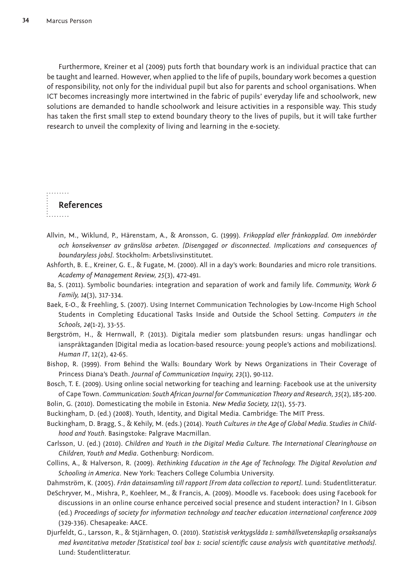Furthermore, Kreiner et al (2009) puts forth that boundary work is an individual practice that can be taught and learned. However, when applied to the life of pupils, boundary work becomes a question of responsibility, not only for the individual pupil but also for parents and school organisations. When ICT becomes increasingly more intertwined in the fabric of pupils' everyday life and schoolwork, new solutions are demanded to handle schoolwork and leisure activities in a responsible way. This study has taken the first small step to extend boundary theory to the lives of pupils, but it will take further research to unveil the complexity of living and learning in the e-society.

**References**  1. . . . . . . .

. . . . . . . .

- Allvin, M., Wiklund, P., Härenstam, A., & Aronsson, G. (1999). *Frikopplad eller frånkopplad. Om innebörder och konsekvenser av gränslösa arbeten. [Disengaged or disconnected. Implications and consequences of boundaryless jobs]*. Stockholm: Arbetslivsinstitutet.
- Ashforth, B. E., Kreiner, G. E., & Fugate, M. (2000). All in a day's work: Boundaries and micro role transitions. *Academy of Management Review, 25*(3), 472-491.
- Ba, S. (2011). Symbolic boundaries: integration and separation of work and family life. *Community, Work & Family, 14*(3), 317-334.
- Baek, E-O., & Freehling, S. (2007). Using Internet Communication Technologies by Low-Income High School Students in Completing Educational Tasks Inside and Outside the School Setting. *Computers in the Schools, 24*(1-2), 33-55.
- Bergström, H., & Hernwall, P. (2013). Digitala medier som platsbunden resurs: ungas handlingar och ianspråktaganden [Digital media as location-based resource: young people's actions and mobilizations]. *Human IT*, 12(2), 42-65.
- Bishop, R. (1999). From Behind the Walls: Boundary Work by News Organizations in Their Coverage of Princess Diana's Death. *Journal of Communication Inquiry, 23*(1), 90-112.
- Bosch, T. E. (2009). Using online social networking for teaching and learning: Facebook use at the university of Cape Town. *Communication: South African Journal for Communication Theory and Research, 35*(2), 185-200.
- Bolin, G. (2010). Domesticating the mobile in Estonia. *New Media Society, 12*(1), 55-73.
- Buckingham, D. (ed.) (2008). Youth, Identity, and Digital Media. Cambridge: The MIT Press.
- Buckingham, D. Bragg, S., & Kehily, M. (eds.) (2014). *Youth Cultures in the Age of Global Media. Studies in Childhood and Youth*. Basingstoke: Palgrave Macmillan.
- Carlsson, U. (ed.) (2010). *Children and Youth in the Digital Media Culture. The International Clearinghouse on Children, Youth and Media*. Gothenburg: Nordicom.
- Collins, A., & Halverson, R. (2009). *Rethinking Education in the Age of Technology. The Digital Revolution and Schooling in America*. New York: Teachers College Columbia University.
- Dahmström, K. (2005). *Från datainsamling till rapport [From data collection to report]*. Lund: Studentlitteratur. DeSchryver, M., Mishra, P., Koehleer, M., & Francis, A. (2009). Moodle vs. Facebook: does using Facebook for
- discussions in an online course enhance perceived social presence and student interaction? In I. Gibson (ed.) *Proceedings of society for information technology and teacher education international conference 2009* (329-336). Chesapeake: AACE.
- Djurfeldt, G., Larsson, R., & Stjärnhagen, O. (2010). S*tatistisk verktygslåda 1: samhällsvetenskaplig orsaksanalys med kvantitativa metoder [Statistical tool box 1: social scientific cause analysis with quantitative methods].* Lund: Studentlitteratur.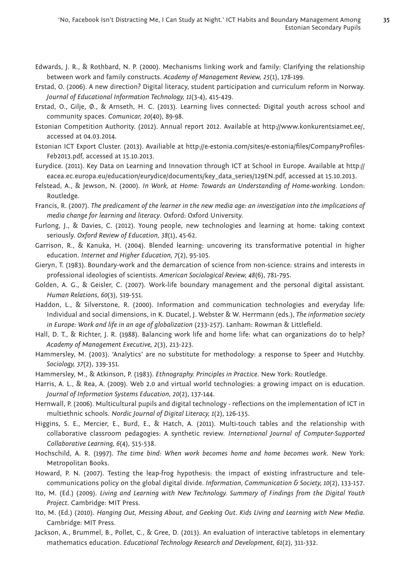- Edwards, J. R., & Rothbard, N. P. (2000). Mechanisms linking work and family: Clarifying the relationship between work and family constructs. *Academy of Management Review, 25*(1), 178-199.
- Erstad, O. (2006). A new direction? Digital literacy, student participation and curriculum reform in Norway. *Journal of Educational Information Technology, 11*(3-4), 415-429.
- Erstad, O., Gilje, Ø., & Arnseth, H. C. (2013). Learning lives connected: Digital youth across school and community spaces. *Comunicar, 20*(40), 89-98.
- Estonian Competition Authority. (2012). Annual report 2012. Available at http://www.konkurentsiamet.ee/, accessed at 04.03.2014.
- Estonian ICT Export Cluster. (2013). Availiable at http://e-estonia.com/sites/e-estonia/fi les/CompanyProfi les-Feb2013.pdf, accessed at 15.10.2013.
- Eurydice. (2011). Key Data on Learning and Innovation through ICT at School in Europe. Available at http:// eacea.ec.europa.eu/education/eurydice/documents/key\_data\_series/129EN.pdf, accessed at 15.10.2013.
- Felstead, A., & Jewson, N. (2000). *In Work, at Home: Towards an Understanding of Home-working*. London: Routledge.
- Francis, R. (2007). *The predicament of the learner in the new media age: an investigation into the implications of media change for learning and literacy*. Oxford: Oxford University.
- Furlong, J., & Davies, C. (2012). Young people, new technologies and learning at home: taking context seriously. *Oxford Review of Education, 38*(1), 45-62.
- Garrison, R., & Kanuka, H. (2004). Blended learning: uncovering its transformative potential in higher education. *Internet and Higher Education, 7*(2), 95-105.
- Gieryn, T. (1983). Boundary-work and the demarcation of science from non-science: strains and interests in professional ideologies of scientists. *American Sociological Review, 48*(6), 781-795.
- Golden, A. G., & Geisler, C. (2007). Work-life boundary management and the personal digital assistant. *Human Relations, 60*(3), 519-551.
- Haddon, L., & Silverstone, R. (2000). Information and communication technologies and everyday life: Individual and social dimensions, in K. Ducatel, J. Webster & W. Herrmann (eds.), *The information society in Europe: Work and life in an age of globalization* (233-257). Lanham: Rowman & Littlefield.
- Hall, D. T., & Richter, J. R. (1988). Balancing work life and home life: what can organizations do to help? *Academy of Management Executive, 2*(3), 213-223.
- Hammersley, M. (2003). 'Analytics' are no substitute for methodology: a response to Speer and Hutchby. *Sociology, 37*(2), 339-351.
- Hammersley, M., & Atkinson, P. (1983). *Ethnography. Principles in Practice*. New York: Routledge.
- Harris, A. L., & Rea, A. (2009). Web 2.0 and virtual world technologies: a growing impact on is education. *Journal of Information Systems Education, 20*(2), 137-144.
- Hernwall, P. (2006). Multicultural pupils and digital technology reflections on the implementation of ICT in multiethnic schools. *Nordic Journal of Digital Literacy, 1*(2), 126-135.
- Higgins, S. E., Mercier, E., Burd, E., & Hatch, A. (2011). Multi-touch tables and the relationship with collaborative classroom pedagogies: A synthetic review. *International Journal of Computer-Supported Collaborative Learning, 6*(4), 515-538.
- Hochschild, A. R. (1997). *The time bind: When work becomes home and home becomes work*. New York: Metropolitan Books.
- Howard, P. N. (2007). Testing the leap-frog hypothesis: the impact of existing infrastructure and telecommunications policy on the global digital divide. *Information, Communication & Society, 10*(2), 133-157.
- Ito, M. (Ed.) (2009). *Living and Learning with New Technology. Summary of Findings from the Digital Youth Project*. Cambridge: MIT Press.
- Ito, M. (Ed.) (2010). *Hanging Out, Messing About, and Geeking Out. Kids Living and Learning with New Media*. Cambridge: MIT Press.
- Jackson, A., Brummel, B., Pollet, C., & Gree, D. (2013). An evaluation of interactive tabletops in elementary mathematics education. *Educational Technology Research and Development, 61*(2), 311-332.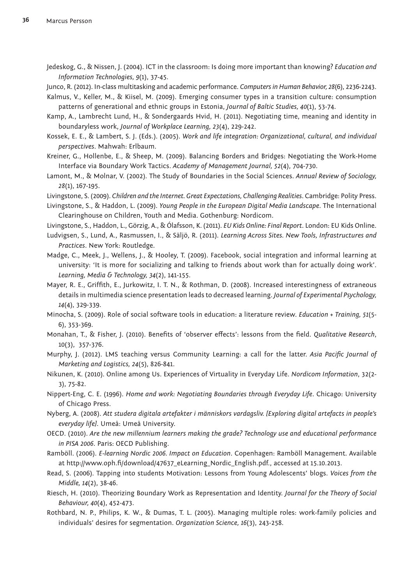Jedeskog, G., & Nissen, J. (2004). ICT in the classroom: Is doing more important than knowing? *Education and Information Technologies, 9*(1), 37-45.

Junco, R. (2012). In-class multitasking and academic performance. *Computers in Human Behavior, 28*(6), 2236-2243.

- Kalmus, V., Keller, M., & Kiisel, M. (2009). Emerging consumer types in a transition culture: consumption patterns of generational and ethnic groups in Estonia, *Journal of Baltic Studies, 40*(1), 53-74.
- Kamp, A., Lambrecht Lund, H., & Sondergaards Hvid, H. (2011). Negotiating time, meaning and identity in boundaryless work, *Journal of Workplace Learning, 23*(4), 229-242.
- Kossek, E. E., & Lambert, S. J. (Eds.). (2005). *Work and life integration: Organizational, cultural, and individual perspectives*. Mahwah: Erlbaum.
- Kreiner, G., Hollenbe, E., & Sheep, M. (2009). Balancing Borders and Bridges: Negotiating the Work-Home Interface via Boundary Work Tactics. *Academy of Management Journal, 52*(4), 704-730.
- Lamont, M., & Molnar, V. (2002). The Study of Boundaries in the Social Sciences. *Annual Review of Sociology, 28*(1), 167-195.
- Livingstone, S. (2009). *Children and the Internet. Great Expectations, Challenging Realities*. Cambridge: Polity Press.
- Livingstone, S., & Haddon, L. (2009). *Young People in the European Digital Media Landscape*. The International Clearinghouse on Children, Youth and Media. Gothenburg: Nordicom.
- Livingstone, S., Haddon, L., Görzig, A., & Ólafsson, K. (2011). *EU Kids Online: Final Report*. London: EU Kids Online.
- Ludvigsen, S., Lund, A., Rasmussen, I., & Säljö, R. (2011). *Learning Across Sites. New Tools, Infrastructures and Practices*. New York: Routledge.
- Madge, C., Meek, J., Wellens, J., & Hooley, T. (2009). Facebook, social integration and informal learning at university: 'It is more for socializing and talking to friends about work than for actually doing work'. *Learning, Media & Technology, 34*(2), 141-155.
- Mayer, R. E., Griffith, E., Jurkowitz, I. T. N., & Rothman, D. (2008). Increased interestingness of extraneous details in multimedia science presentation leads to decreased learning. *Journal of Experimental Psychology, 14*(4), 329-339.
- Minocha, S. (2009). Role of social software tools in education: a literature review. *Education + Training, 51*(5- 6), 353-369.
- Monahan, T., & Fisher, J. (2010). Benefits of 'observer effects': lessons from the field. *Qualitative Research*, 10(3), 357-376.
- Murphy, J. (2012). LMS teaching versus Community Learning: a call for the latter. Asia Pacific Journal of *Marketing and Logistics, 24*(5), 826-841.
- Nikunen, K. (2010). Online among Us. Experiences of Virtuality in Everyday Life. *Nordicom Information*, 32(2- 3), 75-82.
- Nippert-Eng, C. E. (1996). *Home and work: Negotiating Boundaries through Everyday Life*. Chicago: University of Chicago Press.
- Nyberg, A. (2008). *Att studera digitala artefakter i människors vardagsliv. [Exploring digital artefacts in people's everyday life]*. Umeå: Umeå University.
- OECD. (2010). *Are the new millennium learners making the grade? Technology use and educational performance in PISA 2006*. Paris: OECD Publishing.
- Ramböll. (2006). *E-learning Nordic 2006. Impact on Education*. Copenhagen: Ramböll Management. Available at http://www.oph.fi/download/47637\_eLearning\_Nordic\_English.pdf., accessed at 15.10.2013.
- Read, S. (2006). Tapping into students Motivation: Lessons from Young Adolescents' blogs. *Voices from the Middle, 14*(2), 38-46.
- Riesch, H. (2010). Theorizing Boundary Work as Representation and Identity. *Journal for the Theory of Social Behaviour, 40*(4), 452-473.
- Rothbard, N. P., Philips, K. W., & Dumas, T. L. (2005). Managing multiple roles: work-family policies and individuals' desires for segmentation. *Organization Science, 16*(3), 243-258.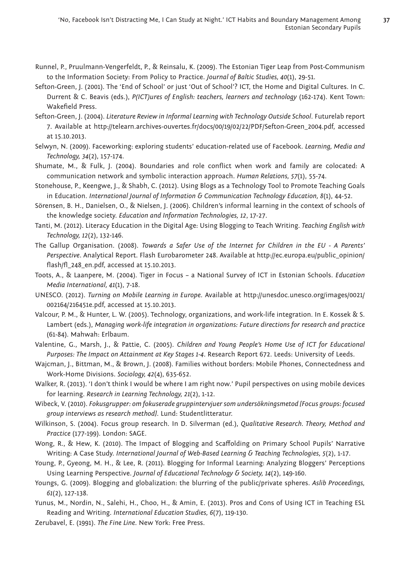**37**

- Runnel, P., Pruulmann-Vengerfeldt, P., & Reinsalu, K. (2009). The Estonian Tiger Leap from Post-Communism to the Information Society: From Policy to Practice. *Journal of Baltic Studies, 40*(1), 29-51.
- Sefton-Green, J. (2001). The 'End of School' or just 'Out of School'? ICT, the Home and Digital Cultures. In C. Durrent & C. Beavis (eds.), *P(ICT)ures of English: teachers, learners and technology* (162-174). Kent Town: Wakefield Press.
- Sefton-Green, J. (2004). *Literature Review in Informal Learning with Technology Outside School*. Futurelab report 7. Available at http://telearn.archives-ouvertes.fr/docs/00/19/02/22/PDF/Sefton-Green\_2004.pdf, accessed at 15.10.2013.
- Selwyn, N. (2009). Faceworking: exploring students' education-related use of Facebook. *Learning, Media and Technology, 34*(2), 157-174.
- Shumate, M., & Fulk, J. (2004). Boundaries and role conflict when work and family are colocated: A communication network and symbolic interaction approach. *Human Relations, 57*(1), 55-74.
- Stonehouse, P., Keengwe, J., & Shabh, C. (2012). Using Blogs as a Technology Tool to Promote Teaching Goals in Education. *International Journal of Information & Communication Technology Education, 8*(1), 44-52.
- Sörensen, B. H., Danielsen, O., & Nielsen, J. (2006). Children's informal learning in the context of schools of the knowledge society. *Education and Information Technologies, 12*, 17-27.
- Tanti, M. (2012). Literacy Education in the Digital Age: Using Blogging to Teach Writing. *Teaching English with Technology, 12*(2), 132-146.
- The Gallup Organisation. (2008). *Towards a Safer Use of the Internet for Children in the EU A Parents' Perspective*. Analytical Report. Flash Eurobarometer 248. Available at http://ec.europa.eu/public\_opinion/ flash/fl\_248\_en.pdf, accessed at 15.10.2013.
- Toots, A., & Laanpere, M. (2004). Tiger in Focus a National Survey of ICT in Estonian Schools. *Education Media International, 41*(1), 7-18.
- UNESCO. (2012). *Turning on Mobile Learning in Europe*. Available at http://unesdoc.unesco.org/images/0021/ 002164/216451e.pdf, accessed at 15.10.2013.
- Valcour, P. M., & Hunter, L. W. (2005). Technology, organizations, and work-life integration. In E. Kossek & S. Lambert (eds.), *Managing work-life integration in organizations: Future directions for research and practice* (61-84). Mahwah: Erlbaum.
- Valentine, G., Marsh, J., & Pattie, C. (2005). *Children and Young People's Home Use of ICT for Educational Purposes: The Impact on Attainment at Key Stages 1-4*. Research Report 672. Leeds: University of Leeds.
- Wajcman, J., Bittman, M., & Brown, J. (2008). Families without borders: Mobile Phones, Connectedness and Work-Home Divisions. *Sociology, 42*(4), 635-652.
- Walker, R. (2013). 'I don't think I would be where I am right now.' Pupil perspectives on using mobile devices for learning. *Research in Learning Technology, 21*(2), 1-12.
- Wibeck, V. (2010). *Fokusgrupper: om fokuserade gruppintervjuer som undersökningsmetod [Focus groups: focused group interviews as research method]*. Lund: Studentlitteratur.
- Wilkinson, S. (2004). Focus group research. In D. Silverman (ed.), *Qualitative Research. Theory, Method and Practice* (177-199). London: SAGE.
- Wong, R., & Hew, K. (2010). The Impact of Blogging and Scaffolding on Primary School Pupils' Narrative Writing: A Case Study. *International Journal of Web-Based Learning & Teaching Technologies, 5*(2), 1-17.
- Young, P., Gyeong, M. H., & Lee, R. (2011). Blogging for Informal Learning: Analyzing Bloggers' Perceptions Using Learning Perspective. *Journal of Educational Technology & Society, 14*(2), 149-160.
- Youngs, G. (2009). Blogging and globalization: the blurring of the public/private spheres. *Aslib Proceedings, 61*(2), 127-138.
- Yunus, M., Nordin, N., Salehi, H., Choo, H., & Amin, E. (2013). Pros and Cons of Using ICT in Teaching ESL Reading and Writing. *International Education Studies, 6*(7), 119-130.
- Zerubavel, E. (1991). *The Fine Line*. New York: Free Press.